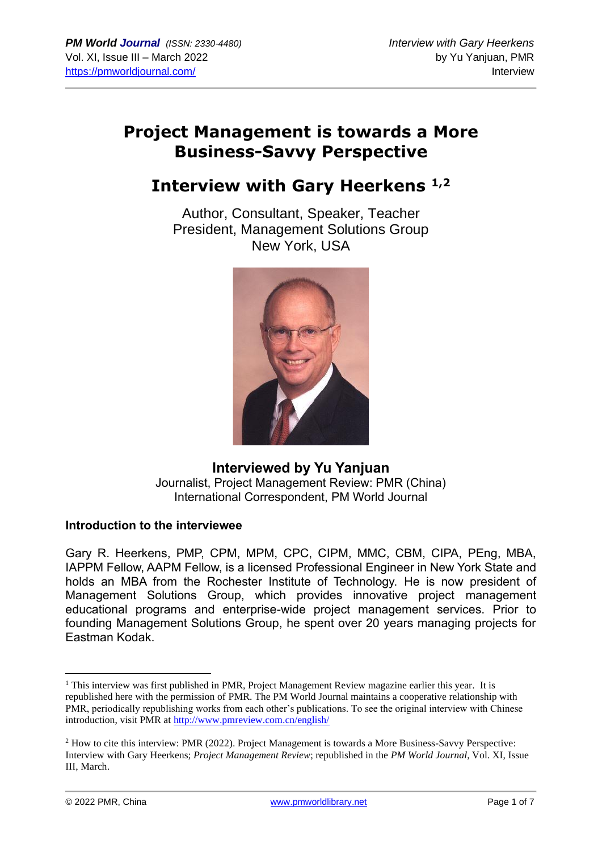# **Project Management is towards a More Business-Savvy Perspective**

# **Interview with Gary Heerkens 1,2**

Author, Consultant, Speaker, Teacher President, Management Solutions Group New York, USA



### **Interviewed by Yu Yanjuan** Journalist, Project Management Review: PMR (China) International Correspondent, PM World Journal

#### **Introduction to the interviewee**

Gary R. Heerkens, PMP, CPM, MPM, CPC, CIPM, MMC, CBM, CIPA, PEng, MBA, IAPPM Fellow, AAPM Fellow, is a licensed Professional Engineer in New York State and holds an MBA from the Rochester Institute of Technology. He is now president of Management Solutions Group, which provides innovative project management educational programs and enterprise-wide project management services. Prior to founding Management Solutions Group, he spent over 20 years managing projects for Eastman Kodak.

<sup>&</sup>lt;sup>1</sup> This interview was first published in PMR, Project Management Review magazine earlier this year. It is republished here with the permission of PMR. The PM World Journal maintains a cooperative relationship with PMR, periodically republishing works from each other's publications. To see the original interview with Chinese introduction, visit PMR at<http://www.pmreview.com.cn/english/>

<sup>&</sup>lt;sup>2</sup> How to cite this interview: PMR (2022). Project Management is towards a More Business-Savvy Perspective: Interview with Gary Heerkens; *Project Management Review*; republished in the *PM World Journal*, Vol. XI, Issue III, March.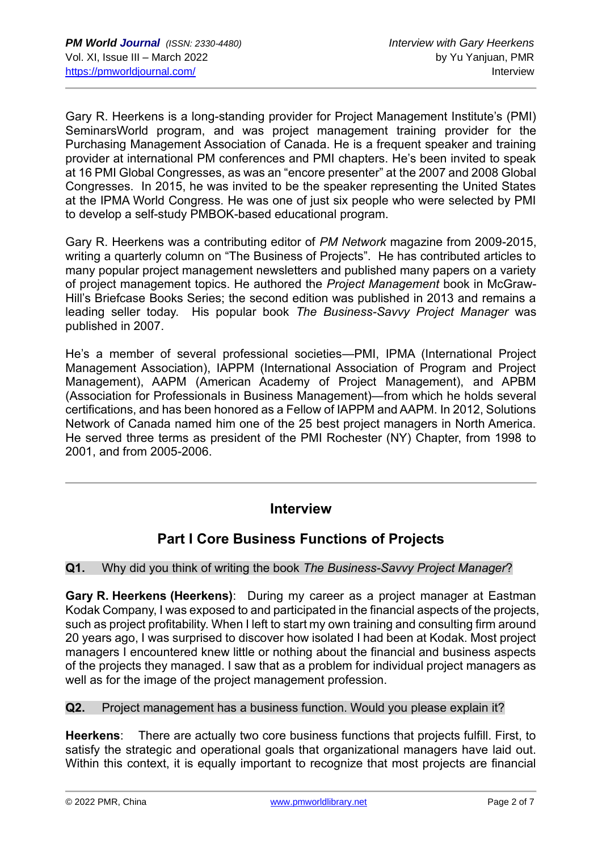Gary R. Heerkens is a long-standing provider for Project Management Institute's (PMI) SeminarsWorld program, and was project management training provider for the Purchasing Management Association of Canada. He is a frequent speaker and training provider at international PM conferences and PMI chapters. He's been invited to speak at 16 PMI Global Congresses, as was an "encore presenter" at the 2007 and 2008 Global Congresses. In 2015, he was invited to be the speaker representing the United States at the IPMA World Congress. He was one of just six people who were selected by PMI to develop a self-study PMBOK-based educational program.

Gary R. Heerkens was a contributing editor of *PM Network* magazine from 2009-2015, writing a quarterly column on "The Business of Projects". He has contributed articles to many popular project management newsletters and published many papers on a variety of project management topics. He authored the *Project Management* book in McGraw-Hill's Briefcase Books Series; the second edition was published in 2013 and remains a leading seller today. His popular book *The Business-Savvy Project Manager* was published in 2007.

He's a member of several professional societies—PMI, IPMA (International Project Management Association), IAPPM (International Association of Program and Project Management), AAPM (American Academy of Project Management), and APBM (Association for Professionals in Business Management)—from which he holds several certifications, and has been honored as a Fellow of IAPPM and AAPM. In 2012, Solutions Network of Canada named him one of the 25 best project managers in North America. He served three terms as president of the PMI Rochester (NY) Chapter, from 1998 to 2001, and from 2005-2006.

# **Interview**

# **Part I Core Business Functions of Projects**

#### **Q1.** Why did you think of writing the book *The Business-Savvy Project Manager*?

**Gary R. Heerkens (Heerkens)**: During my career as a project manager at Eastman Kodak Company, I was exposed to and participated in the financial aspects of the projects, such as project profitability. When I left to start my own training and consulting firm around 20 years ago, I was surprised to discover how isolated I had been at Kodak. Most project managers I encountered knew little or nothing about the financial and business aspects of the projects they managed. I saw that as a problem for individual project managers as well as for the image of the project management profession.

**Q2.** Project management has a business function. Would you please explain it?

**Heerkens**: There are actually two core business functions that projects fulfill. First, to satisfy the strategic and operational goals that organizational managers have laid out. Within this context, it is equally important to recognize that most projects are financial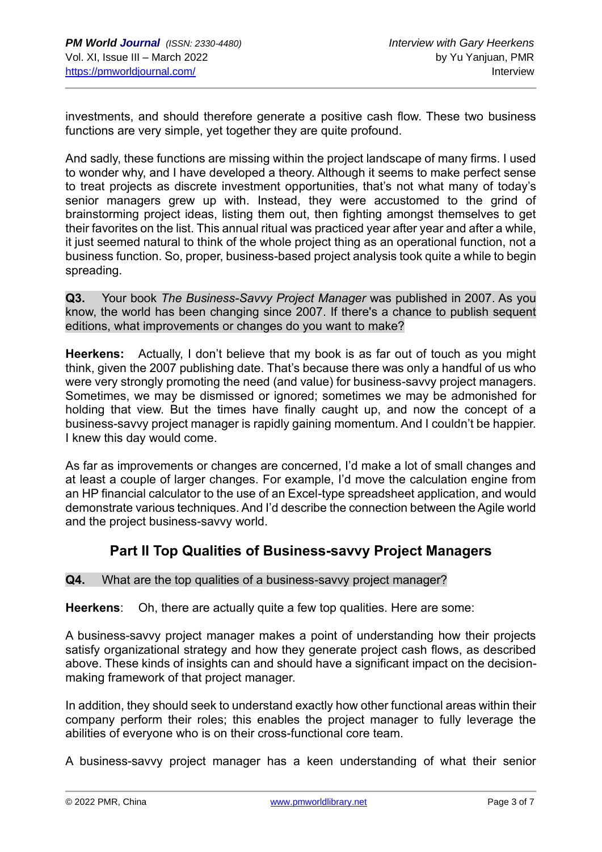investments, and should therefore generate a positive cash flow. These two business functions are very simple, yet together they are quite profound.

And sadly, these functions are missing within the project landscape of many firms. I used to wonder why, and I have developed a theory. Although it seems to make perfect sense to treat projects as discrete investment opportunities, that's not what many of today's senior managers grew up with. Instead, they were accustomed to the grind of brainstorming project ideas, listing them out, then fighting amongst themselves to get their favorites on the list. This annual ritual was practiced year after year and after a while, it just seemed natural to think of the whole project thing as an operational function, not a business function. So, proper, business-based project analysis took quite a while to begin spreading.

**Q3.** Your book *The Business-Savvy Project Manager* was published in 2007. As you know, the world has been changing since 2007. If there's a chance to publish sequent editions, what improvements or changes do you want to make?

**Heerkens:** Actually, I don't believe that my book is as far out of touch as you might think, given the 2007 publishing date. That's because there was only a handful of us who were very strongly promoting the need (and value) for business-savvy project managers. Sometimes, we may be dismissed or ignored; sometimes we may be admonished for holding that view. But the times have finally caught up, and now the concept of a business-savvy project manager is rapidly gaining momentum. And I couldn't be happier. I knew this day would come.

As far as improvements or changes are concerned, I'd make a lot of small changes and at least a couple of larger changes. For example, I'd move the calculation engine from an HP financial calculator to the use of an Excel-type spreadsheet application, and would demonstrate various techniques. And I'd describe the connection between the Agile world and the project business-savvy world.

## **Part II Top Qualities of Business-savvy Project Managers**

#### **Q4.** What are the top qualities of a business-savvy project manager?

**Heerkens**: Oh, there are actually quite a few top qualities. Here are some:

A business-savvy project manager makes a point of understanding how their projects satisfy organizational strategy and how they generate project cash flows, as described above. These kinds of insights can and should have a significant impact on the decisionmaking framework of that project manager.

In addition, they should seek to understand exactly how other functional areas within their company perform their roles; this enables the project manager to fully leverage the abilities of everyone who is on their cross-functional core team.

A business-savvy project manager has a keen understanding of what their senior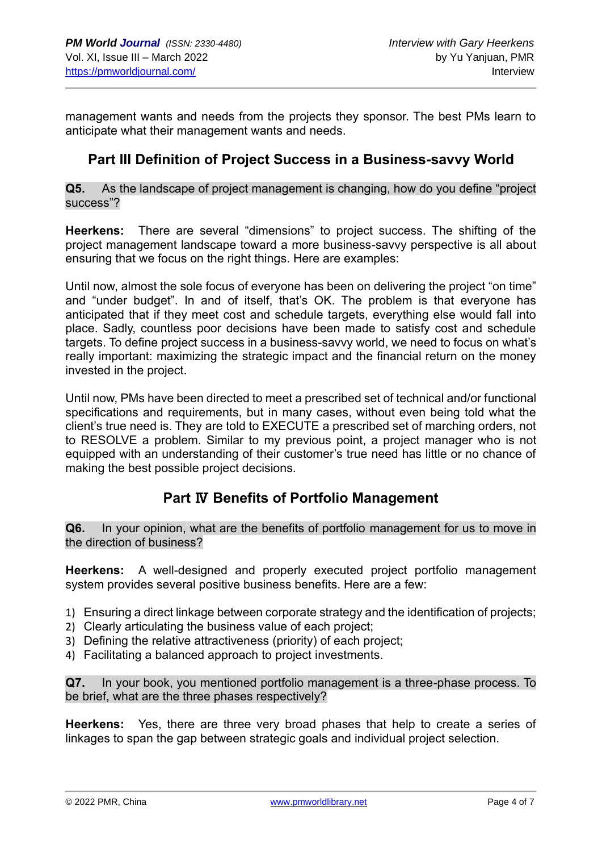management wants and needs from the projects they sponsor. The best PMs learn to anticipate what their management wants and needs.

## **Part III Definition of Project Success in a Business-savvy World**

**Q5.** As the landscape of project management is changing, how do you define "project success"?

**Heerkens:** There are several "dimensions" to project success. The shifting of the project management landscape toward a more business-savvy perspective is all about ensuring that we focus on the right things. Here are examples:

Until now, almost the sole focus of everyone has been on delivering the project "on time" and "under budget". In and of itself, that's OK. The problem is that everyone has anticipated that if they meet cost and schedule targets, everything else would fall into place. Sadly, countless poor decisions have been made to satisfy cost and schedule targets. To define project success in a business-savvy world, we need to focus on what's really important: maximizing the strategic impact and the financial return on the money invested in the project.

Until now, PMs have been directed to meet a prescribed set of technical and/or functional specifications and requirements, but in many cases, without even being told what the client's true need is. They are told to EXECUTE a prescribed set of marching orders, not to RESOLVE a problem. Similar to my previous point, a project manager who is not equipped with an understanding of their customer's true need has little or no chance of making the best possible project decisions.

## **Part** Ⅳ **Benefits of Portfolio Management**

**Q6.** In your opinion, what are the benefits of portfolio management for us to move in the direction of business?

**Heerkens:** A well-designed and properly executed project portfolio management system provides several positive business benefits. Here are a few:

- 1) Ensuring a direct linkage between corporate strategy and the identification of projects;
- 2) Clearly articulating the business value of each project;
- 3) Defining the relative attractiveness (priority) of each project;
- 4) Facilitating a balanced approach to project investments.

**Q7.** In your book, you mentioned portfolio management is a three-phase process. To be brief, what are the three phases respectively?

**Heerkens:** Yes, there are three very broad phases that help to create a series of linkages to span the gap between strategic goals and individual project selection.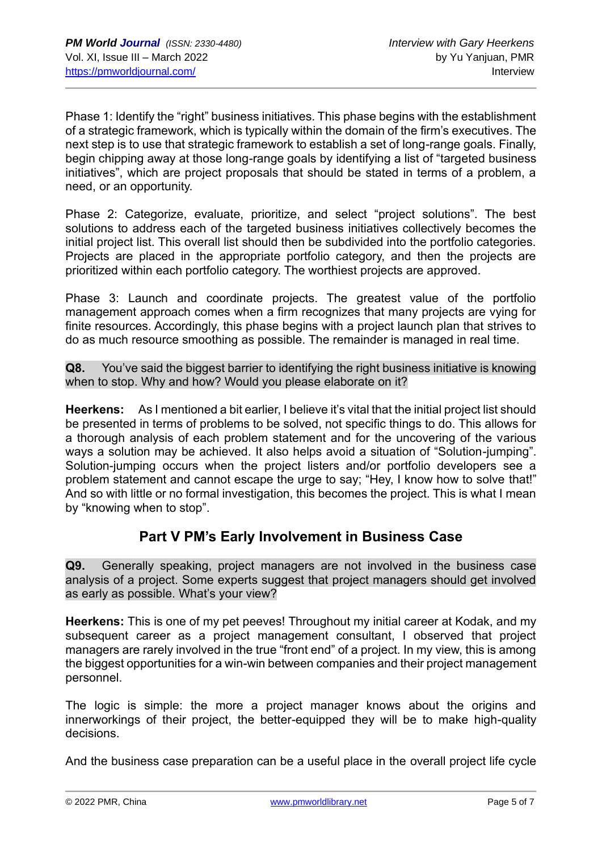Phase 1: Identify the "right" business initiatives. This phase begins with the establishment of a strategic framework, which is typically within the domain of the firm's executives. The next step is to use that strategic framework to establish a set of long-range goals. Finally, begin chipping away at those long-range goals by identifying a list of "targeted business initiatives", which are project proposals that should be stated in terms of a problem, a need, or an opportunity.

Phase 2: Categorize, evaluate, prioritize, and select "project solutions". The best solutions to address each of the targeted business initiatives collectively becomes the initial project list. This overall list should then be subdivided into the portfolio categories. Projects are placed in the appropriate portfolio category, and then the projects are prioritized within each portfolio category. The worthiest projects are approved.

Phase 3: Launch and coordinate projects. The greatest value of the portfolio management approach comes when a firm recognizes that many projects are vying for finite resources. Accordingly, this phase begins with a project launch plan that strives to do as much resource smoothing as possible. The remainder is managed in real time.

**Q8.** You've said the biggest barrier to identifying the right business initiative is knowing when to stop. Why and how? Would you please elaborate on it?

**Heerkens:** As I mentioned a bit earlier, I believe it's vital that the initial project list should be presented in terms of problems to be solved, not specific things to do. This allows for a thorough analysis of each problem statement and for the uncovering of the various ways a solution may be achieved. It also helps avoid a situation of "Solution-jumping". Solution-jumping occurs when the project listers and/or portfolio developers see a problem statement and cannot escape the urge to say; "Hey, I know how to solve that!" And so with little or no formal investigation, this becomes the project. This is what I mean by "knowing when to stop".

# **Part V PM's Early Involvement in Business Case**

**Q9.** Generally speaking, project managers are not involved in the business case analysis of a project. Some experts suggest that project managers should get involved as early as possible. What's your view?

**Heerkens:** This is one of my pet peeves! Throughout my initial career at Kodak, and my subsequent career as a project management consultant, I observed that project managers are rarely involved in the true "front end" of a project. In my view, this is among the biggest opportunities for a win-win between companies and their project management personnel.

The logic is simple: the more a project manager knows about the origins and innerworkings of their project, the better-equipped they will be to make high-quality decisions.

And the business case preparation can be a useful place in the overall project life cycle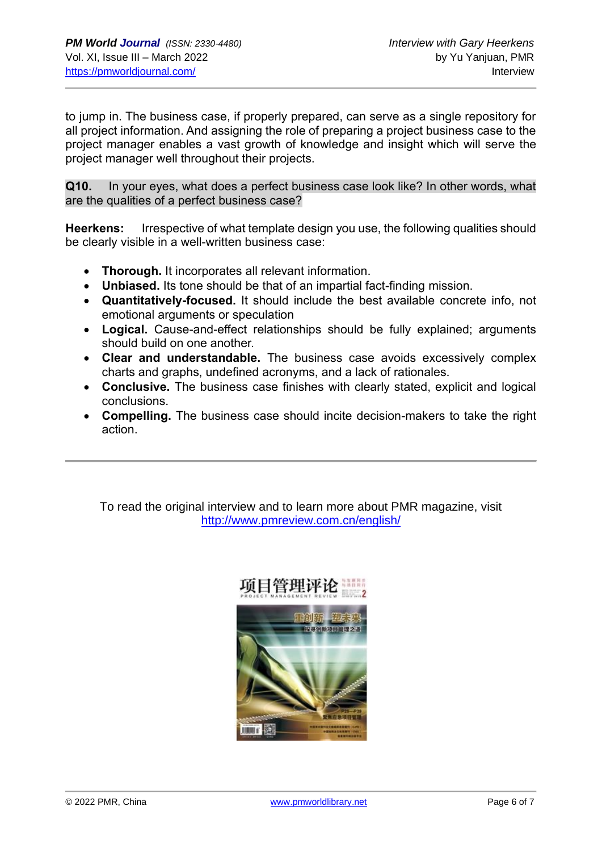to jump in. The business case, if properly prepared, can serve as a single repository for all project information. And assigning the role of preparing a project business case to the project manager enables a vast growth of knowledge and insight which will serve the project manager well throughout their projects.

**Q10.** In your eyes, what does a perfect business case look like? In other words, what are the qualities of a perfect business case?

**Heerkens:** Irrespective of what template design you use, the following qualities should be clearly visible in a well-written business case:

- **Thorough.** It incorporates all relevant information.
- **Unbiased.** Its tone should be that of an impartial fact-finding mission.
- **Quantitatively-focused.** It should include the best available concrete info, not emotional arguments or speculation
- **Logical.** Cause-and-effect relationships should be fully explained; arguments should build on one another.
- **Clear and understandable.** The business case avoids excessively complex charts and graphs, undefined acronyms, and a lack of rationales.
- **Conclusive.** The business case finishes with clearly stated, explicit and logical conclusions.
- **Compelling.** The business case should incite decision-makers to take the right action.

To read the original interview and to learn more about PMR magazine, visit <http://www.pmreview.com.cn/english/>